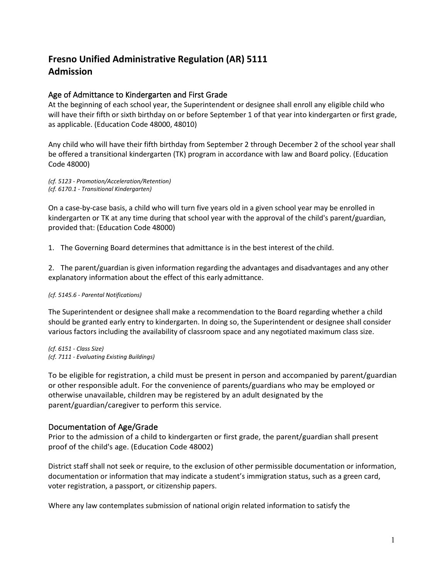## **Fresno Unified Administrative Regulation (AR) 5111 Admission**

## Age of Admittance to Kindergarten and First Grade

At the beginning of each school year, the Superintendent or designee shall enroll any eligible child who will have their fifth or sixth birthday on or before September 1 of that year into kindergarten or first grade, as applicable. (Education Code 48000, 48010)

Any child who will have their fifth birthday from September 2 through December 2 of the school year shall be offered a transitional kindergarten (TK) program in accordance with law and Board policy. (Education Code 48000)

*(cf. 5123 - Promotion/Acceleration/Retention) (cf. 6170.1 - Transitional Kindergarten)*

On a case-by-case basis, a child who will turn five years old in a given school year may be enrolled in kindergarten or TK at any time during that school year with the approval of the child's parent/guardian, provided that: (Education Code 48000)

1. The Governing Board determines that admittance is in the best interest of the child.

2. The parent/guardian is given information regarding the advantages and disadvantages and any other explanatory information about the effect of this early admittance.

## *(cf. 5145.6 - Parental Notifications)*

The Superintendent or designee shall make a recommendation to the Board regarding whether a child should be granted early entry to kindergarten. In doing so, the Superintendent or designee shall consider various factors including the availability of classroom space and any negotiated maximum class size.

*(cf. 6151 - Class Size) (cf. 7111 - Evaluating Existing Buildings)*

To be eligible for registration, a child must be present in person and accompanied by parent/guardian or other responsible adult. For the convenience of parents/guardians who may be employed or otherwise unavailable, children may be registered by an adult designated by the parent/guardian/caregiver to perform this service.

## Documentation of Age/Grade

Prior to the admission of a child to kindergarten or first grade, the parent/guardian shall present proof of the child's age. (Education Code 48002)

District staff shall not seek or require, to the exclusion of other permissible documentation or information, documentation or information that may indicate a student's immigration status, such as a green card, voter registration, a passport, or citizenship papers.

Where any law contemplates submission of national origin related information to satisfy the